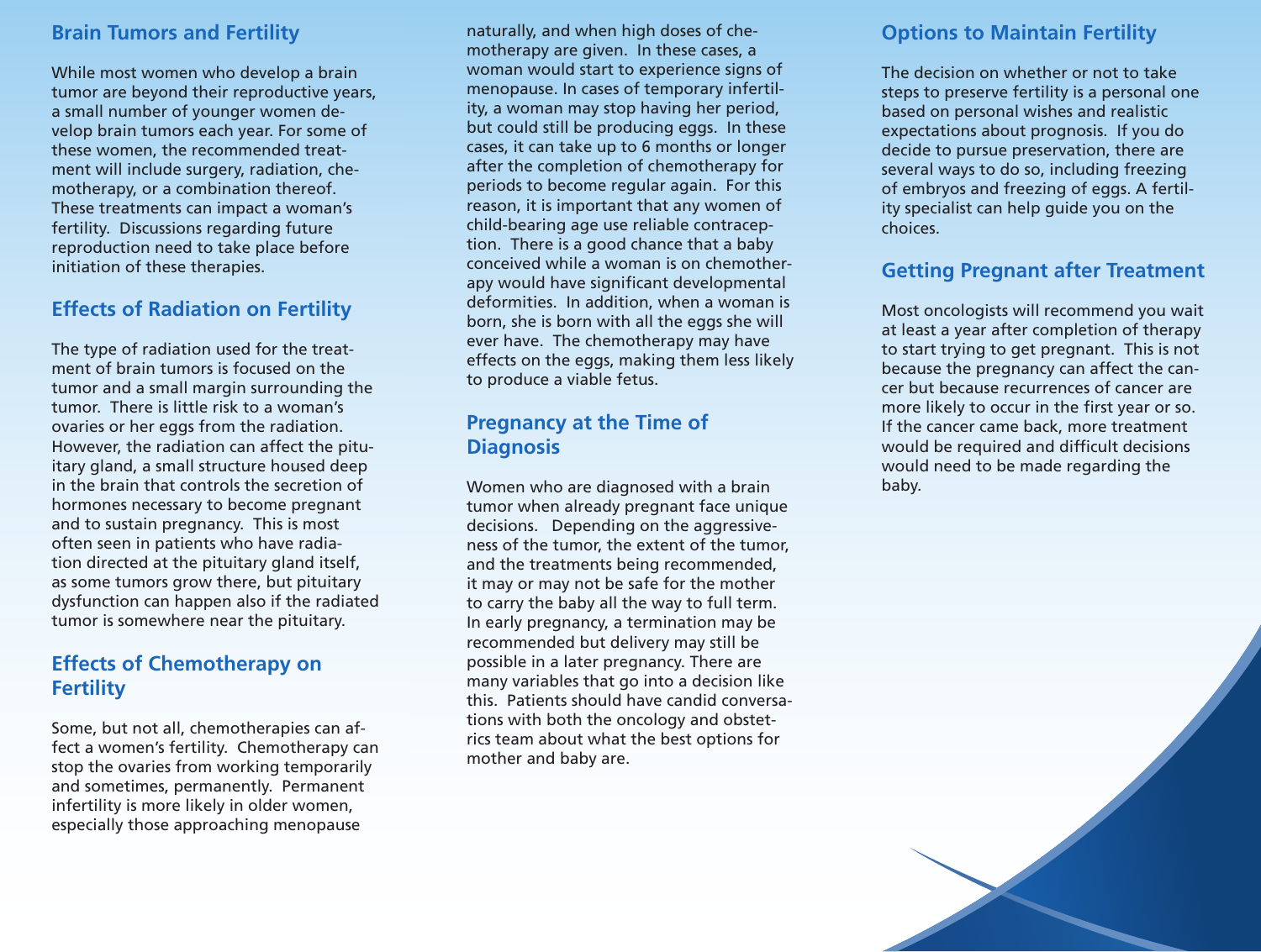#### **Brain Tumors and Fertility**

While most women who develop a brain tumor are beyond their reproductive years, a small number of younger women develop brain tumors each year. For some of these women, the recommended treatment will include surgery, radiation, chemotherapy, or a combination thereof. These treatments can impact a woman's fertility. Discussions regarding future reproduction need to take place before initiation of these therapies.

### **Effects of Radiation on Fertility**

The type of radiation used for the treatment of brain tumors is focused on the tumor and a small margin surrounding the tumor. There is little risk to a woman's ovaries or her eggs from the radiation. However, the radiation can affect the pituitary gland, a small structure housed deep in the brain that controls the secretion of hormones necessary to become pregnant and to sustain pregnancy. This is most often seen in patients who have radiation directed at the pituitary gland itself, as some tumors grow there, but pituitary dysfunction can happen also if the radiated tumor is somewhere near the pituitary.

#### **Effects of Chemotherapy on Fertility**

Some, but not all, chemotherapies can affect a women's fertility. Chemotherapy can stop the ovaries from working temporarily and sometimes, permanently. Permanent infertility is more likely in older women, especially those approaching menopause

naturally, and when high doses of chemotherapy are given. In these cases, a woman would start to experience signs of menopause. In cases of temporary infertility, a woman may stop having her period, but could still be producing eggs. In these cases, it can take up to 6 months or longer after the completion of chemotherapy for periods to become regular again. For this reason, it is important that any women of child-bearing age use reliable contraception. There is a good chance that a baby conceived while a woman is on chemotherapy would have significant developmental deformities. In addition, when a woman is born, she is born with all the eggs she will ever have. The chemotherapy may have effects on the eggs, making them less likely to produce a viable fetus.

#### **Pregnancy at the Time of Diagnosis**

Women who are diagnosed with a brain tumor when already pregnant face unique decisions. Depending on the aggressiveness of the tumor, the extent of the tumor, and the treatments being recommended, it may or may not be safe for the mother to carry the baby all the way to full term. In early pregnancy, a termination may be recommended but delivery may still be possible in a later pregnancy. There are many variables that go into a decision like this. Patients should have candid conversations with both the oncology and obstetrics team about what the best options for mother and baby are.

#### **Options to Maintain Fertility**

The decision on whether or not to take steps to preserve fertility is a personal one based on personal wishes and realistic expectations about prognosis. If you do decide to pursue preservation, there are several ways to do so, including freezing of embryos and freezing of eggs. A fertility specialist can help guide you on the choices.

#### **Getting Pregnant after Treatment**

Most oncologists will recommend you wait at least a year after completion of therapy to start trying to get pregnant. This is not because the pregnancy can affect the cancer but because recurrences of cancer are more likely to occur in the first year or so. If the cancer came back, more treatment would be required and difficult decisions would need to be made regarding the baby.